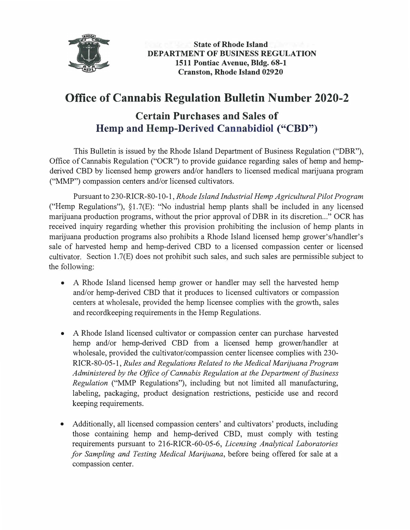

**State of Rhode Island DEPARTMENT OF BUSINESS REGULATION 1511 Pontiac A venue, Bldg. 68-1 Cranston, Rhode Island 02920**

## **Office of Cannabis Regulation Bulletin Number 2020-2**

## **Certain Purchases and Sales of Hemp and Hemp-Derived Cannabidiol ("CBD")**

This Bulletin is issued by the Rhode Island Department of Business Regulation ("DBR"), Office of Cannabis Regulation ("OCR") to provide guidance regarding sales of hemp and hempderived CBD by licensed hemp growers and/or handlers to licensed medical marijuana program ("MMP") compassion centers and/or licensed cultivators.

Pursuant to 230-RICR-80-10-1, *Rhode Island Industrial Hemp Agricultural Pilot Program*  ("Hemp Regulations"), §1.?(E): "No industrial hemp plants shall be included in any licensed marijuana production programs, without the prior approval of DBR in its discretion..." OCR has received inquiry regarding whether this provision prohibiting the inclusion of hemp plants in marijuana production programs also prohibits a Rhode Island licensed hemp grower's/handler's sale of harvested hemp and hemp-derived CBD to a licensed compassion center or licensed cultivator. Section 1.7(E) does not prohibit such sales, and such sales are permissible subject to the following:

- A Rhode Island licensed hemp grower or handler may sell the harvested hemp and/or hemp-derived CBD that it produces to licensed cultivators or compassion centers at wholesale, provided the hemp licensee complies with the growth, sales and recordkeeping requirements in the Hemp Regulations.
- A Rhode Island licensed cultivator or compassion center can purchase harvested hemp and/or hemp-derived CBD from a licensed hemp grower/handler at wholesale, provided the cultivator/compassion center licensee complies with 230- RICR-80-05-1, *Rules and Regulations Related to the Medical Marijuana Program Administered by the Office of Cannabis Regulation at the Department of Business Regulation* ("MMP Regulations"), including but not limited all manufacturing, labeling, packaging, product designation restrictions, pesticide use and record keeping requirements.
- Additionally, all licensed compassion centers' and cultivators' products, including those containing hemp and hemp-derived CBD, must comply with testing requirements pursuant to 216-RICR-60-05-6, *Licensing Analytical Laboratories for Sampling and Testing Medical Marijuana,* before being offered for sale at a compassion center.